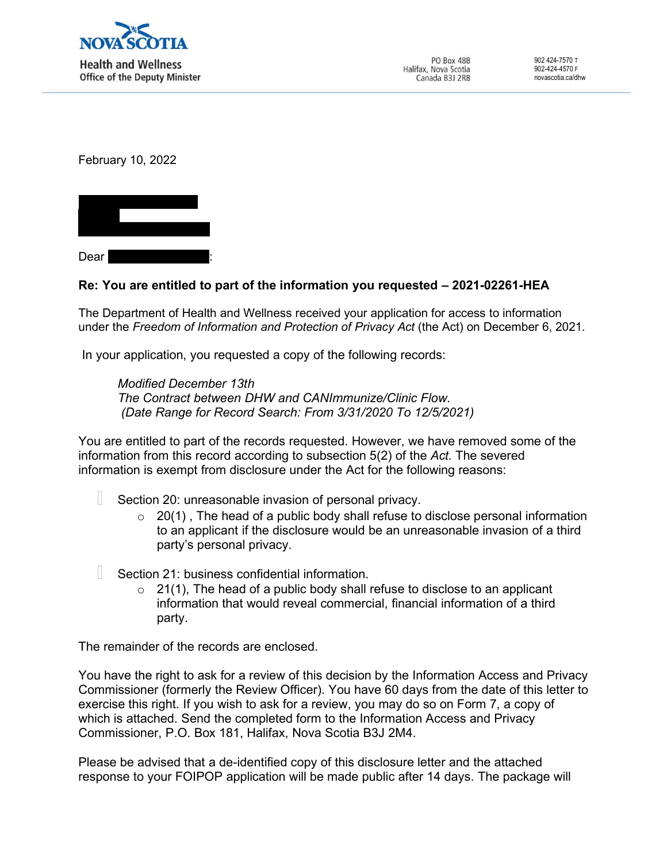

February 10, 2022



## Re: You are entitled to part of the information you requested – 2021-02261-HEA

The Department of Health and Wellness received your application for access to information under the Freedom of Information and Protection of Privacy Act (the Act) on December 6, 2021.

In your application, you requested a copy of the following records:

Modified December 13th The Contract between DHW and CANImmunize/Clinic Flow. (Date Range for Record Search: From 3/31/2020 To 12/5/2021)

You are entitled to part of the records requested. However, we have removed some of the information from this record according to subsection 5(2) of the Act. The severed information is exempt from disclosure under the Act for the following reasons:

- Section 20: unreasonable invasion of personal privacy.
	- $\circ$  20(1), The head of a public body shall refuse to disclose personal information to an applicant if the disclosure would be an unreasonable invasion of a third party's personal privacy.
- W Section 21: business confidential information.
	- $\circ$  21(1), The head of a public body shall refuse to disclose to an applicant information that would reveal commercial, financial information of a third party.

The remainder of the records are enclosed.

You have the right to ask for a review of this decision by the Information Access and Privacy Commissioner (formerly the Review Officer). You have 60 days from the date of this letter to exercise this right. If you wish to ask for a review, you may do so on Form 7, a copy of which is attached. Send the completed form to the Information Access and Privacy Commissioner, P.O. Box 181, Halifax, Nova Scotia B3J 2M4.

Please be advised that a de-identified copy of this disclosure letter and the attached response to your FOIPOP application will be made public after 14 days. The package will